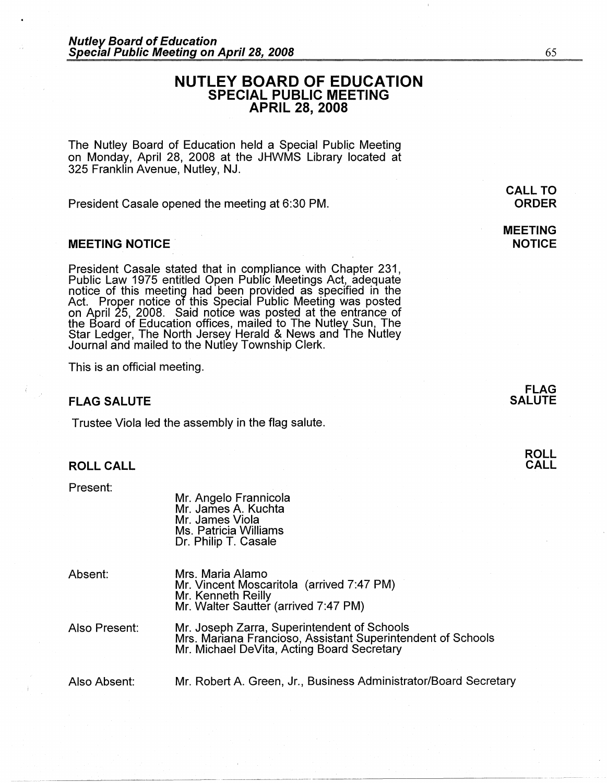# **NUTLEY BOARD OF EDUCATION SPECIAL PUBLIC MEETING APRIL 28, 2008**

The Nutley Board of Education held a Special Public Meeting on Monday, April 28, 2008 at the JHWMS Library located at 325 Franklin Avenue, Nutley, NJ.

President Casale opened the meeting at 6:30 PM.

### **MEETING NOTICE** .

President Casale stated that in compliance with Chapter 231, Public Law 1975 entitled Open Public Meetings Act, adequate notice of this meeting had been rrovided as specified in the Act. Proper notice of this Specia Public Meeting was posted on April 25, 2008. Said notice was posted at the entrance of the Board of Education offices, mailed to The Nutley Sun, The Star Ledger, The North Jersey Herald & News and The Nutley Journal and mailed to the Nutley Township Clerk.

This is an official meeting.

## **FLAG SALUTE**

Trustee Viola led the assembly in the flag salute.

## **ROLL CALL**

Present:

Mr. Angelo Frannicola Mr. James A. Kuchta Mr. James Viola Ms. Patricia Williams Dr. Philip T. Casale

Absent:

Mrs. Maria Alamo Mr. Vincent Moscaritola (arrived 7:47 PM) Mr. Kenneth Reilly Mr. Walter Sautter (arrived 7:47 PM)

Also Present: Mr. Joseph Zarra, Superintendent of Schools Mrs. Mariana Francioso, Assistant Superintendent of Schools Mr. Michael DeVita, Acting Board Secretary

-·-····· ·----~~-~---- ---------------------- ------

Also Absent: Mr. Robert A Green, Jr., Business Administrator/Board Secretary

**MEETING NOTICE** 

> **FLAG SALUTE**

> > **ROLL CALL**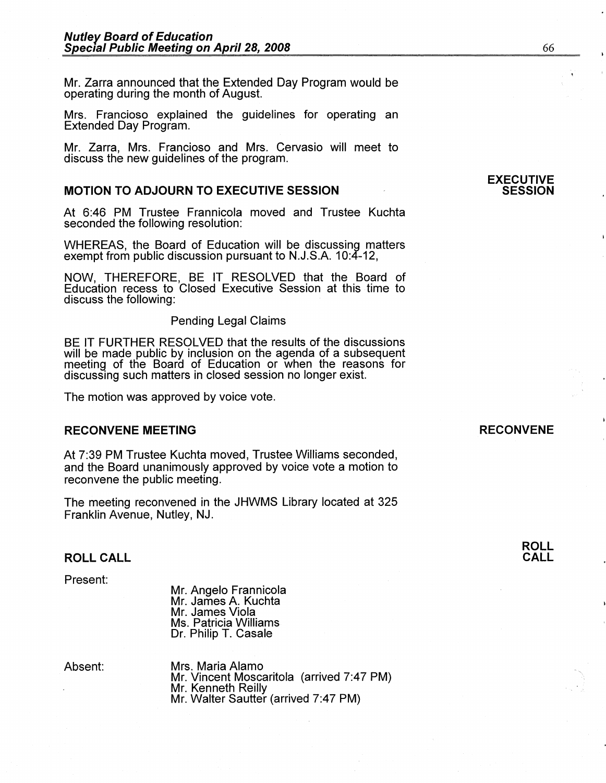Mr. Zarra announced that the Extended Day Program would be operating during the month of August.

Mrs. Francioso explained the guidelines for operating an Extended Day Program.

Mr. Zarra, Mrs. Franciosa and Mrs. Gervasio will meet to discuss the new guidelines of the program.

## **MOTION TO ADJOURN TO EXECUTIVE SESSION**

At 6:46 PM Trustee Frannicola moved and Trustee Kuchta seconded the following resolution:

WHEREAS, the Board of Education will be discussing matters exempt from public discussion pursuant to N.J.S.A. 10:4-12,

NOW, THEREFORE, BE IT RESOLVED that the Board of Education recess to Closed Executive Session at this time to discuss the following:

Pending Legal Claims

BE IT FURTHER RESOLVED that the results of the discussions will be made public by inclusion on the agenda of a subsequent meeting of the Board of Education or when the reasons for discussing such matters in closed session no longer exist.

The motion was approved by voice vote.

## **RECONVENE MEETING**

At 7:39 PM Trustee Kuchta moved, Trustee Williams seconded, and the Board unanimously approved by voice vote a motion to reconvene the public meeting.

The meeting reconvened in the JHWMS Library located at 325 Franklin Avenue, Nutley, NJ.

#### **ROLL CALL**

Present:

Mr. Angelo Frannicola Mr. James A. Kuchta Mr. James Viola Ms. Patricia Williams Dr. Philip T. Casale

Absent:

Mrs. Maria Alamo Mr. Vincent Moscaritola (arrived 7:47 PM) Mr. Kenneth Reilly Mr. Walter Sautter (arrived 7:47 PM)

### **RECONVENE**

**ROLL CALL**